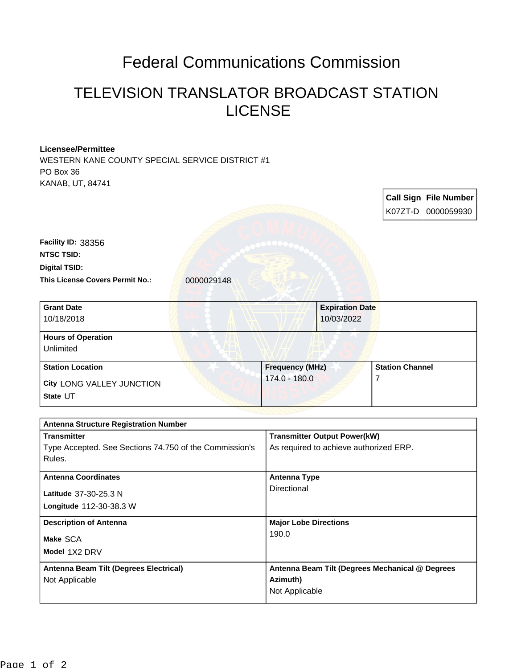## Federal Communications Commission

## TELEVISION TRANSLATOR BROADCAST STATION LICENSE

## **Licensee/Permittee**

WESTERN KANE COUNTY SPECIAL SERVICE DISTRICT #1 PO Box 36 KANAB, UT, 84741

|                                                                                        |                                                                               | <b>Call Sign File Number</b><br>K07ZT-D 0000059930 |
|----------------------------------------------------------------------------------------|-------------------------------------------------------------------------------|----------------------------------------------------|
| Facility ID: 38356<br><b>NTSC TSID:</b>                                                |                                                                               |                                                    |
| <b>Digital TSID:</b><br><b>This License Covers Permit No.:</b><br>0000029148           |                                                                               |                                                    |
| <b>Grant Date</b><br>10/18/2018                                                        | <b>Expiration Date</b><br>10/03/2022                                          |                                                    |
| <b>Hours of Operation</b><br>Unlimited                                                 |                                                                               |                                                    |
| <b>Station Location</b><br>City LONG VALLEY JUNCTION<br>State UT                       | Frequency (MHz)<br>174.0 - 180.0                                              | <b>Station Channel</b><br>7                        |
| <b>Antenna Structure Registration Number</b>                                           |                                                                               |                                                    |
| <b>Transmitter</b><br>Type Accepted. See Sections 74.750 of the Commission's<br>Rules. | <b>Transmitter Output Power(kW)</b><br>As required to achieve authorized ERP. |                                                    |
| <b>Antenna Coordinates</b><br>Latitude 37-30-25.3 N<br>Longitude 112-30-38.3 W         | <b>Antenna Type</b><br>Directional                                            |                                                    |
| <b>Description of Antenna</b><br>Make SCA<br>Model 1X2 DRV                             | <b>Major Lobe Directions</b><br>190.0                                         |                                                    |
| Antenna Beam Tilt (Degrees Electrical)<br>Not Applicable                               | Antenna Beam Tilt (Degrees Mechanical @ Degrees<br>Azimuth)<br>Not Applicable |                                                    |